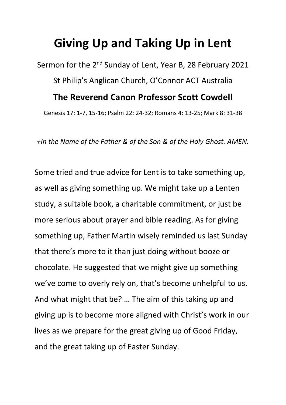## **Giving Up and Taking Up in Lent**

Sermon for the 2<sup>nd</sup> Sunday of Lent, Year B, 28 February 2021 St Philip's Anglican Church, O'Connor ACT Australia **The Reverend Canon Professor Scott Cowdell** Genesis 17: 1-7, 15-16; Psalm 22: 24-32; Romans 4: 13-25; Mark 8: 31-38

*+In the Name of the Father & of the Son & of the Holy Ghost. AMEN.*

Some tried and true advice for Lent is to take something up, as well as giving something up. We might take up a Lenten study, a suitable book, a charitable commitment, or just be more serious about prayer and bible reading. As for giving something up, Father Martin wisely reminded us last Sunday that there's more to it than just doing without booze or chocolate. He suggested that we might give up something we've come to overly rely on, that's become unhelpful to us. And what might that be? … The aim of this taking up and giving up is to become more aligned with Christ's work in our lives as we prepare for the great giving up of Good Friday, and the great taking up of Easter Sunday.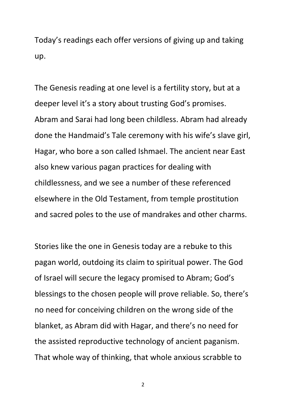Today's readings each offer versions of giving up and taking up.

The Genesis reading at one level is a fertility story, but at a deeper level it's a story about trusting God's promises. Abram and Sarai had long been childless. Abram had already done the Handmaid's Tale ceremony with his wife's slave girl, Hagar, who bore a son called Ishmael. The ancient near East also knew various pagan practices for dealing with childlessness, and we see a number of these referenced elsewhere in the Old Testament, from temple prostitution and sacred poles to the use of mandrakes and other charms.

Stories like the one in Genesis today are a rebuke to this pagan world, outdoing its claim to spiritual power. The God of Israel will secure the legacy promised to Abram; God's blessings to the chosen people will prove reliable. So, there's no need for conceiving children on the wrong side of the blanket, as Abram did with Hagar, and there's no need for the assisted reproductive technology of ancient paganism. That whole way of thinking, that whole anxious scrabble to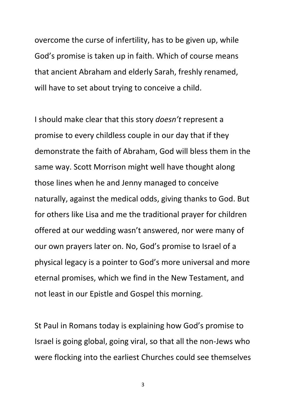overcome the curse of infertility, has to be given up, while God's promise is taken up in faith. Which of course means that ancient Abraham and elderly Sarah, freshly renamed, will have to set about trying to conceive a child.

I should make clear that this story *doesn't* represent a promise to every childless couple in our day that if they demonstrate the faith of Abraham, God will bless them in the same way. Scott Morrison might well have thought along those lines when he and Jenny managed to conceive naturally, against the medical odds, giving thanks to God. But for others like Lisa and me the traditional prayer for children offered at our wedding wasn't answered, nor were many of our own prayers later on. No, God's promise to Israel of a physical legacy is a pointer to God's more universal and more eternal promises, which we find in the New Testament, and not least in our Epistle and Gospel this morning.

St Paul in Romans today is explaining how God's promise to Israel is going global, going viral, so that all the non-Jews who were flocking into the earliest Churches could see themselves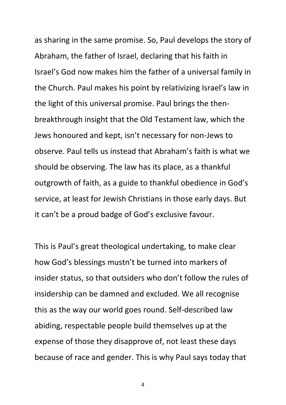as sharing in the same promise. So, Paul develops the story of Abraham, the father of Israel, declaring that his faith in Israel's God now makes him the father of a universal family in the Church. Paul makes his point by relativizing Israel's law in the light of this universal promise. Paul brings the thenbreakthrough insight that the Old Testament law, which the Jews honoured and kept, isn't necessary for non-Jews to observe. Paul tells us instead that Abraham's faith is what we should be observing. The law has its place, as a thankful outgrowth of faith, as a guide to thankful obedience in God's service, at least for Jewish Christians in those early days. But it can't be a proud badge of God's exclusive favour.

This is Paul's great theological undertaking, to make clear how God's blessings mustn't be turned into markers of insider status, so that outsiders who don't follow the rules of insidership can be damned and excluded. We all recognise this as the way our world goes round. Self-described law abiding, respectable people build themselves up at the expense of those they disapprove of, not least these days because of race and gender. This is why Paul says today that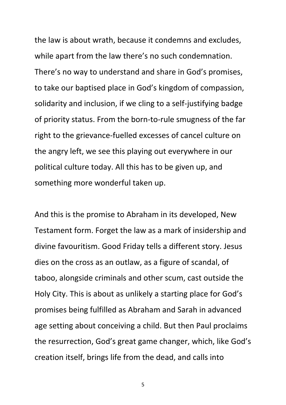the law is about wrath, because it condemns and excludes, while apart from the law there's no such condemnation. There's no way to understand and share in God's promises, to take our baptised place in God's kingdom of compassion, solidarity and inclusion, if we cling to a self-justifying badge of priority status. From the born-to-rule smugness of the far right to the grievance-fuelled excesses of cancel culture on the angry left, we see this playing out everywhere in our political culture today. All this has to be given up, and something more wonderful taken up.

And this is the promise to Abraham in its developed, New Testament form. Forget the law as a mark of insidership and divine favouritism. Good Friday tells a different story. Jesus dies on the cross as an outlaw, as a figure of scandal, of taboo, alongside criminals and other scum, cast outside the Holy City. This is about as unlikely a starting place for God's promises being fulfilled as Abraham and Sarah in advanced age setting about conceiving a child. But then Paul proclaims the resurrection, God's great game changer, which, like God's creation itself, brings life from the dead, and calls into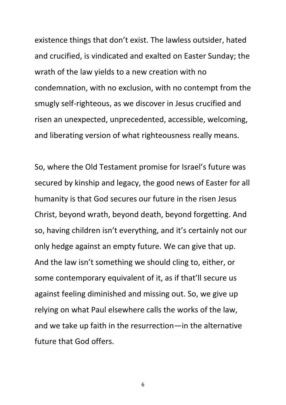existence things that don't exist. The lawless outsider, hated and crucified, is vindicated and exalted on Easter Sunday; the wrath of the law yields to a new creation with no condemnation, with no exclusion, with no contempt from the smugly self-righteous, as we discover in Jesus crucified and risen an unexpected, unprecedented, accessible, welcoming, and liberating version of what righteousness really means.

So, where the Old Testament promise for Israel's future was secured by kinship and legacy, the good news of Easter for all humanity is that God secures our future in the risen Jesus Christ, beyond wrath, beyond death, beyond forgetting. And so, having children isn't everything, and it's certainly not our only hedge against an empty future. We can give that up. And the law isn't something we should cling to, either, or some contemporary equivalent of it, as if that'll secure us against feeling diminished and missing out. So, we give up relying on what Paul elsewhere calls the works of the law, and we take up faith in the resurrection—in the alternative future that God offers.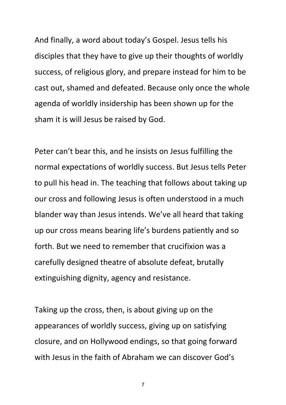And finally, a word about today's Gospel. Jesus tells his disciples that they have to give up their thoughts of worldly success, of religious glory, and prepare instead for him to be cast out, shamed and defeated. Because only once the whole agenda of worldly insidership has been shown up for the sham it is will Jesus be raised by God.

Peter can't bear this, and he insists on Jesus fulfilling the normal expectations of worldly success. But Jesus tells Peter to pull his head in. The teaching that follows about taking up our cross and following Jesus is often understood in a much blander way than Jesus intends. We've all heard that taking up our cross means bearing life's burdens patiently and so forth. But we need to remember that crucifixion was a carefully designed theatre of absolute defeat, brutally extinguishing dignity, agency and resistance.

Taking up the cross, then, is about giving up on the appearances of worldly success, giving up on satisfying closure, and on Hollywood endings, so that going forward with Jesus in the faith of Abraham we can discover God's

<sup>7</sup>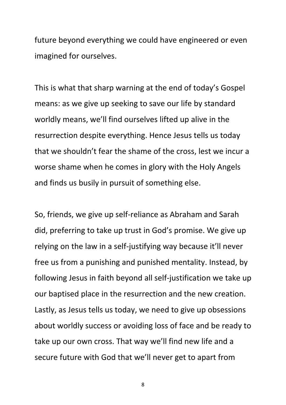future beyond everything we could have engineered or even imagined for ourselves.

This is what that sharp warning at the end of today's Gospel means: as we give up seeking to save our life by standard worldly means, we'll find ourselves lifted up alive in the resurrection despite everything. Hence Jesus tells us today that we shouldn't fear the shame of the cross, lest we incur a worse shame when he comes in glory with the Holy Angels and finds us busily in pursuit of something else.

So, friends, we give up self-reliance as Abraham and Sarah did, preferring to take up trust in God's promise. We give up relying on the law in a self-justifying way because it'll never free us from a punishing and punished mentality. Instead, by following Jesus in faith beyond all self-justification we take up our baptised place in the resurrection and the new creation. Lastly, as Jesus tells us today, we need to give up obsessions about worldly success or avoiding loss of face and be ready to take up our own cross. That way we'll find new life and a secure future with God that we'll never get to apart from